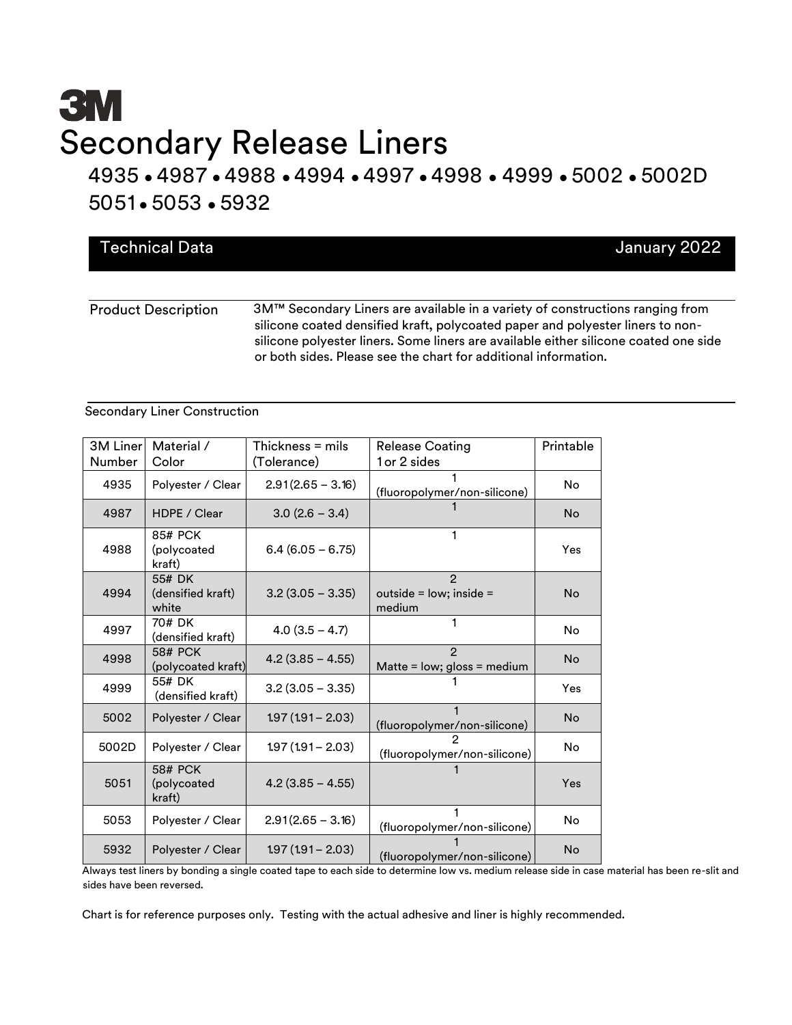# **3M** Secondary Release Liners

4935 • 4987 • 4988 • 4994 • 4997 • 4998 • 4999 • 5002 • 5002D 5051 • 5053 • 5932

|  |  | <b>Technical Data</b> | January 2022                                                                                                                                                                                                                      |  |
|--|--|-----------------------|-----------------------------------------------------------------------------------------------------------------------------------------------------------------------------------------------------------------------------------|--|
|  |  |                       |                                                                                                                                                                                                                                   |  |
|  |  |                       | <b>ON ATM O</b> a second of the second construction of the second of the second construction of the second second second second second second second second second second second second second second second second second second |  |

Product Description 3M™ Secondary Liners are available in a variety of constructions ranging from silicone coated densified kraft, polycoated paper and polyester liners to nonsilicone polyester liners. Some liners are available either silicone coated one side or both sides. Please see the chart for additional information.

#### Secondary Liner Construction

| 3M Liner<br>Number | Material /<br>Color                     | Thickness $=$ mils<br>(Tolerance) | <b>Release Coating</b><br>1 or 2 sides               | Printable |
|--------------------|-----------------------------------------|-----------------------------------|------------------------------------------------------|-----------|
| 4935               | Polyester / Clear                       | $2.91(2.65 - 3.16)$               | (fluoropolymer/non-silicone)                         | No        |
| 4987               | HDPF / Clear                            | $3.0(2.6 - 3.4)$                  |                                                      | <b>No</b> |
| 4988               | 85# PCK<br>(polycoated<br>kraft)        | $6.4(6.05 - 6.75)$                |                                                      | Yes       |
| 4994               | 55# DK<br>(densified kraft)<br>white    | $3.2(3.05 - 3.35)$                | $\mathcal{P}$<br>outside = $low;$ inside =<br>medium | <b>No</b> |
| 4997               | 70# DK<br>(densified kraft)             | $4.0(3.5 - 4.7)$                  | 1                                                    | No        |
| 4998               | <b>58# PCK</b><br>(polycoated kraft)    | $4.2(3.85 - 4.55)$                | $\mathcal{P}$<br>Matte = low; gloss = medium         | <b>No</b> |
| 4999               | 55# DK<br>(densified kraft)             | $3.2(3.05 - 3.35)$                |                                                      | Yes       |
| 5002               | Polyester / Clear                       | $1.97(1.91 - 2.03)$               | (fluoropolymer/non-silicone)                         | <b>No</b> |
| 5002D              | Polyester / Clear                       | $1.97(1.91 - 2.03)$               | (fluoropolymer/non-silicone)                         | No        |
| 5051               | <b>58# PCK</b><br>(polycoated<br>kraft) | $4.2$ (3.85 - 4.55)               |                                                      | Yes       |
| 5053               | Polyester / Clear                       | $2.91(2.65 - 3.16)$               | (fluoropolymer/non-silicone)                         | <b>No</b> |
| 5932               | Polyester / Clear                       | $1.97(1.91 - 2.03)$               | (fluoropolymer/non-silicone)                         | No        |

Always test liners by bonding a single coated tape to each side to determine low vs. medium release side in case material has been re-slit and sides have been reversed.

Chart is for reference purposes only. Testing with the actual adhesive and liner is highly recommended.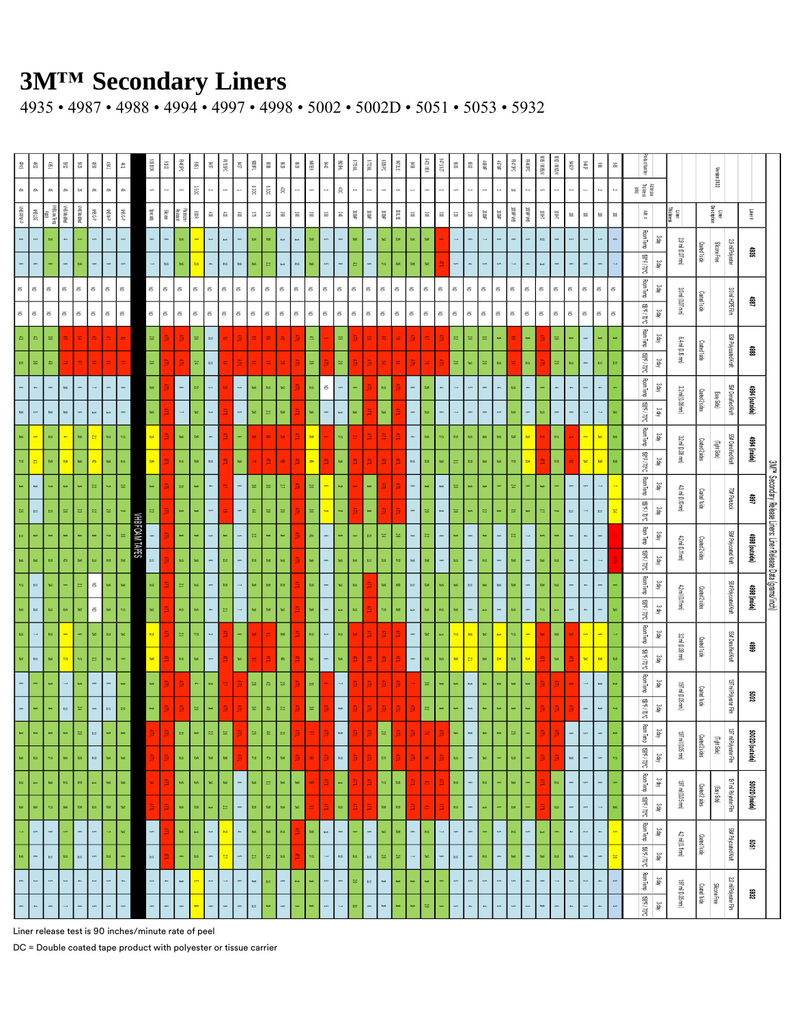4935 • 4987 • 4988 • 4994 • 4997 • 4998 • 5002 • 5002D • 5051 • 5053 • 5932

| zg<br>Si                 | $\frac{6}{2}$             | ŝ                          | 7385                       | $\S\$                    | ĝ.                       | 중식                         | 촾                          |                       | XDU 95                | 7706                     | <b>PA8PC</b>            | 9851            | 686                   | <b>BRRK</b>           | g,                         | $1000$                          | 806               | 6796                   | 9736                       | 竇                        | $2442$                   | <b>HE8</b>         | <b>JNBLIS</b>            | WZL6                     | 3880                     | <b>SA7UE</b>               | $\frac{56}{20}$          | 06612199              | <b>129/11/82</b>         | 909               | $7086$                      | ▒                          | <b>SOMP</b>         | Banc<br>C<br>PISPE                     | A/B8001                  | 5000000              | æs<br>        | $rac{38}{6}$             | $\mathbf{\hat{s}}$         | ଞ୍ଜି                       | adust Number                   |            |                    |                | Version 2022          |                                                                                                                                                                                                                                                                                                                                                                                                                                                                                                                                                                                                                                                                                                                                                                                                                                                                                                                                                                                                                                                                                                                                                                                                                                                                                                                                                                                                                                                                                                                                                                                                                                                                                                                                                                                                                                                                                                                                                                                                                                                                                                                                                                                                                                                                                                                                                                                                                                                                                                                                                                                                                                                                                                                                                                                                                                                                                                                                                                                          |                 |                                                                           |
|--------------------------|---------------------------|----------------------------|----------------------------|--------------------------|--------------------------|----------------------------|----------------------------|-----------------------|-----------------------|--------------------------|-------------------------|-----------------|-----------------------|-----------------------|----------------------------|---------------------------------|-------------------|------------------------|----------------------------|--------------------------|--------------------------|--------------------|--------------------------|--------------------------|--------------------------|----------------------------|--------------------------|-----------------------|--------------------------|-------------------|-----------------------------|----------------------------|---------------------|----------------------------------------|--------------------------|----------------------|---------------|--------------------------|----------------------------|----------------------------|--------------------------------|------------|--------------------|----------------|-----------------------|------------------------------------------------------------------------------------------------------------------------------------------------------------------------------------------------------------------------------------------------------------------------------------------------------------------------------------------------------------------------------------------------------------------------------------------------------------------------------------------------------------------------------------------------------------------------------------------------------------------------------------------------------------------------------------------------------------------------------------------------------------------------------------------------------------------------------------------------------------------------------------------------------------------------------------------------------------------------------------------------------------------------------------------------------------------------------------------------------------------------------------------------------------------------------------------------------------------------------------------------------------------------------------------------------------------------------------------------------------------------------------------------------------------------------------------------------------------------------------------------------------------------------------------------------------------------------------------------------------------------------------------------------------------------------------------------------------------------------------------------------------------------------------------------------------------------------------------------------------------------------------------------------------------------------------------------------------------------------------------------------------------------------------------------------------------------------------------------------------------------------------------------------------------------------------------------------------------------------------------------------------------------------------------------------------------------------------------------------------------------------------------------------------------------------------------------------------------------------------------------------------------------------------------------------------------------------------------------------------------------------------------------------------------------------------------------------------------------------------------------------------------------------------------------------------------------------------------------------------------------------------------------------------------------------------------------------------------------------------------|-----------------|---------------------------------------------------------------------------|
| $\delta h$               | $\delta$                  | ðì.                        | $\delta h$                 | $\approx$                | ð.                       | ðì,                        | $\delta h$                 |                       |                       | $\sim$                   |                         | äão             |                       |                       |                            | $\mathop{\mathrm{ss}}\nolimits$ | $\mathbb{S}^n$    | $\widehat{\mathbb{R}}$ | <sub>10</sub>              |                          | М                        | â                  | c,                       | ĥ.                       | c,                       |                            |                          |                       |                          |                   | k.                          |                            |                     | ь.<br>$\equiv$                         |                          | $\ddot{\phantom{0}}$ |               |                          | $\sim$                     |                            | Adhesie<br>Thickness<br>(fff g |            |                    |                |                       |                                                                                                                                                                                                                                                                                                                                                                                                                                                                                                                                                                                                                                                                                                                                                                                                                                                                                                                                                                                                                                                                                                                                                                                                                                                                                                                                                                                                                                                                                                                                                                                                                                                                                                                                                                                                                                                                                                                                                                                                                                                                                                                                                                                                                                                                                                                                                                                                                                                                                                                                                                                                                                                                                                                                                                                                                                                                                                                                                                                          |                 |                                                                           |
| <b>HRRMP</b>             | <b>YHBLSE</b>             | YHBLovTenp<br>Apply        | HBMoffed                   | HBMoffed                 | $4-98M$                  | <b>HBM-P</b>               | WBG-P                      |                       | Specially             | Silicone                 | Plasticer               | $\frac{300}{5}$ | $\mathbb{S}$          | $\mathbin{\mathbb S}$ | $\mathbb{S}$               | $\frac{\omega_2}{\omega_1}$     | $\mathbb{S}^2_0$  | g                      | $\mathbb{S}$               | $\mathbb{S}$             | $\widetilde{\mathbf{g}}$ | $\mathcal{E}$      | $\frac{1}{2}$            | $\frac{1}{20000}$        | $\frac{1}{2}$            | $33\,\mathrm{TE}$          | $\mathop{\mathbb{S}}$    | $\mathop{\mathbb{S}}$ | $\mathop{\mathbb{S}}$    | $\boxtimes$       | $\Xi$                       | $2000$                     | $3000$              | 841.6100<br>BH, dVO).                  | $\widetilde{\Xi}$        | $\tilde{\Xi}$        | $\vec{e}$     | $\vec{\mathbf{s}}$       | $\vec{\mathbf{s}}$         | $\vec{\mathbf{s}}$         | Жŧ                             |            | Liner<br>Thickness |                | Liner<br>Description  |                                                                                                                                                                                                                                                                                                                                                                                                                                                                                                                                                                                                                                                                                                                                                                                                                                                                                                                                                                                                                                                                                                                                                                                                                                                                                                                                                                                                                                                                                                                                                                                                                                                                                                                                                                                                                                                                                                                                                                                                                                                                                                                                                                                                                                                                                                                                                                                                                                                                                                                                                                                                                                                                                                                                                                                                                                                                                                                                                                                          | Liner#          |                                                                           |
|                          | $\overline{a}$            | ah.                        | $\mathbf{a}$               | o,                       | $\overline{a}$           | $\sim$                     | ç,                         |                       |                       | $\infty$                 | ok                      |                 | $\tilde{\phantom{a}}$ | $\Rightarrow$         | $\circ$                    | ah                              | g                 | $\Rightarrow$          | $\Rightarrow$              | $\mathbb{S}0$            | cn,                      |                    | as<br>8                  | $\infty$                 | z                        | $\mathbb{S}^2_0$           | ah                       | 38                    |                          | 4                 |                             |                            |                     | $\epsilon$                             | r3                       | œ                    |               | $\tilde{\phantom{a}}$    |                            |                            | Room Temp                      | <b>Jah</b> |                    |                |                       |                                                                                                                                                                                                                                                                                                                                                                                                                                                                                                                                                                                                                                                                                                                                                                                                                                                                                                                                                                                                                                                                                                                                                                                                                                                                                                                                                                                                                                                                                                                                                                                                                                                                                                                                                                                                                                                                                                                                                                                                                                                                                                                                                                                                                                                                                                                                                                                                                                                                                                                                                                                                                                                                                                                                                                                                                                                                                                                                                                                          |                 |                                                                           |
|                          |                           |                            |                            | oh.                      |                          |                            |                            |                       |                       | $\bar{a}$                | ē                       | e.              |                       | $\mathfrak{g}_3$      | $\Rightarrow$              | a,                              | ∾.                | $\Rightarrow$          | $\mathfrak{r}\mathfrak{s}$ | æ                        | $\overline{a}$           |                    | A                        |                          | $\Rightarrow$            | $\mathbbmss{S}$            | $\approx$                | $\mathbb{S}^2$        |                          | $\overline{a}$    |                             |                            |                     |                                        |                          |                      |               |                          |                            |                            | $360/108$                      | 3day       | 29 mil (0.07 mm)   | Costed Iside   | Slicone Free          | 29 mil Polyester                                                                                                                                                                                                                                                                                                                                                                                                                                                                                                                                                                                                                                                                                                                                                                                                                                                                                                                                                                                                                                                                                                                                                                                                                                                                                                                                                                                                                                                                                                                                                                                                                                                                                                                                                                                                                                                                                                                                                                                                                                                                                                                                                                                                                                                                                                                                                                                                                                                                                                                                                                                                                                                                                                                                                                                                                                                                                                                                                                         | \$89            |                                                                           |
| $\widetilde{\texttt{c}}$ | $\widetilde{\texttt{c}}$  | $\widetilde{\Xi}$          | $\widetilde{\Xi}$          | $\widetilde{\texttt{c}}$ | $\Xi$                    | $\widetilde{\mathfrak{s}}$ | $\equiv$                   |                       | š.                    | $\widetilde{\Xi}$        | 3                       | š               | $\leq$                | $\Xi$                 | $\widetilde{\Xi}$          | $\widetilde{\texttt{c}}$        | š                 | $\mathfrak S$          | $\widetilde{\Xi}$          | $\widetilde{\texttt{c}}$ | $\leq$                   | š                  | $\widetilde{\textbf{c}}$ | $\widetilde{\textbf{c}}$ | $\widetilde{\textbf{c}}$ | $\widetilde{\Xi}$          | $\widetilde{\texttt{c}}$ | š                     | $\widetilde{\textbf{c}}$ | $\widetilde{\Xi}$ | $\widetilde{\Xi}$           | $\widetilde{\texttt{c}}$   | š                   | $\widetilde{\mathfrak{S}}$<br>$\equiv$ | $\widetilde{\texttt{c}}$ | $\widetilde{\Xi}$    | š             | $\equiv$                 | $\widetilde{\mathfrak{S}}$ | $\widetilde{\mathfrak{S}}$ | Room Temp                      | Yah        |                    |                |                       |                                                                                                                                                                                                                                                                                                                                                                                                                                                                                                                                                                                                                                                                                                                                                                                                                                                                                                                                                                                                                                                                                                                                                                                                                                                                                                                                                                                                                                                                                                                                                                                                                                                                                                                                                                                                                                                                                                                                                                                                                                                                                                                                                                                                                                                                                                                                                                                                                                                                                                                                                                                                                                                                                                                                                                                                                                                                                                                                                                                          |                 |                                                                           |
| $\widetilde{\Xi}$        | $\widetilde{\texttt{c}}$  | $\widetilde{\mathfrak{S}}$ | $\widetilde{\mathfrak{S}}$ | $\Xi$                    | $\Xi$                    | $\Xi$                      | $\widetilde{\mathfrak{S}}$ |                       | $\leq$                | $\widetilde{\texttt{c}}$ | š                       | š               | $\Xi$                 | š                     | $\widetilde{\mathfrak{s}}$ | $\leq$                          | š                 | š                      | $\widetilde{\mathfrak{S}}$ | š                        | š                        | š                  | $\Xi$                    | $\equiv$                 | $\widetilde{\Xi}$        | $\widetilde{\mathfrak{s}}$ | $\Xi$                    | š                     | š                        | š                 | $\Xi$                       | $\widetilde{\mathfrak{S}}$ | š                   | $\widetilde{\Xi}$<br>$\equiv$          | $\Xi$                    | š                    | š             | $\Xi$                    | $\widetilde{\mathfrak{S}}$ | $\widetilde{\mathfrak{s}}$ | 2607.1700                      | 3 day      | 3.0 ml (0.07 mm)   | Coated Iside   |                       | 30 ml HDPE Film                                                                                                                                                                                                                                                                                                                                                                                                                                                                                                                                                                                                                                                                                                                                                                                                                                                                                                                                                                                                                                                                                                                                                                                                                                                                                                                                                                                                                                                                                                                                                                                                                                                                                                                                                                                                                                                                                                                                                                                                                                                                                                                                                                                                                                                                                                                                                                                                                                                                                                                                                                                                                                                                                                                                                                                                                                                                                                                                                                          | 80              |                                                                           |
| $\bar{\mathbf{a}}$       | $\approx$                 | 88                         |                            |                          |                          |                            |                            |                       | æ,                    | 盲                        | 盲                       | 98              | $\Rightarrow$         |                       | 盲                          |                                 |                   | æ.                     | ₿                          | ė.                       |                          | æ                  | ≊                        |                          |                          |                            | 氰                        |                       | ₿                        | æ,                | $\thickapprox$              | జ                          | æ                   | $\bar{\mathbf{a}}$                     | 5                        | æ                    | a,            | $\circ$                  | æ                          | æ                          | Room Temp                      | ydy        |                    |                |                       |                                                                                                                                                                                                                                                                                                                                                                                                                                                                                                                                                                                                                                                                                                                                                                                                                                                                                                                                                                                                                                                                                                                                                                                                                                                                                                                                                                                                                                                                                                                                                                                                                                                                                                                                                                                                                                                                                                                                                                                                                                                                                                                                                                                                                                                                                                                                                                                                                                                                                                                                                                                                                                                                                                                                                                                                                                                                                                                                                                                          |                 |                                                                           |
| $\cong$                  | 88                        | ė                          |                            |                          | ø                        |                            |                            |                       | s.                    |                          | 頁                       | ×.              | $\Rightarrow$         |                       | È.                         |                                 |                   |                        | 当                          | æ                        |                          | $\thickapprox$     |                          | È.                       |                          |                            | È.                       |                       | ₿                        | g                 | $\overrightarrow{\text{a}}$ | 2                          | $\overline{\omega}$ | $\frac{1}{65}$                         |                          | Ø,                   | ಹ             |                          |                            |                            | $360L/4683$                    | 3 dij      | 64 mil (0.6 mm)    | Costed fside   |                       | 83# Polycoated Kraft                                                                                                                                                                                                                                                                                                                                                                                                                                                                                                                                                                                                                                                                                                                                                                                                                                                                                                                                                                                                                                                                                                                                                                                                                                                                                                                                                                                                                                                                                                                                                                                                                                                                                                                                                                                                                                                                                                                                                                                                                                                                                                                                                                                                                                                                                                                                                                                                                                                                                                                                                                                                                                                                                                                                                                                                                                                                                                                                                                     | 훓               |                                                                           |
|                          | b.                        | $\mathfrak{S}$             | $\rightleftarrows$         |                          |                          |                            |                            |                       | $\Rightarrow$         | 当                        | $\sim$                  | Σ,              | $\rightarrow$         |                       | $\tilde{\phantom{a}}$      | ಹ                               | ನ                 | z,                     |                            | ₹,                       | $\widetilde{\textbf{c}}$ |                    |                          |                          | $\frac{1}{65}$           | 盲                          | $\sim$                   | sa,                   | a.                       |                   | $\overline{a}$              | 8                          | ă,                  | a,<br>$\Delta\omega$                   |                          | z,                   |               | دے                       | z.                         |                            | Room Temp                      | 3di        |                    |                |                       |                                                                                                                                                                                                                                                                                                                                                                                                                                                                                                                                                                                                                                                                                                                                                                                                                                                                                                                                                                                                                                                                                                                                                                                                                                                                                                                                                                                                                                                                                                                                                                                                                                                                                                                                                                                                                                                                                                                                                                                                                                                                                                                                                                                                                                                                                                                                                                                                                                                                                                                                                                                                                                                                                                                                                                                                                                                                                                                                                                                          |                 |                                                                           |
|                          | $\overline{a}$            | $\Rightarrow$              | $\Rightarrow$              |                          |                          |                            |                            |                       | å,                    | 盲                        | $\bar{\phantom{a}}$     |                 | $\tilde{\phantom{a}}$ |                       | $\overline{a}$             | ż                               | $\simeq$          | g                      |                            | as,                      |                          |                    | æ                        |                          | æ.                       |                            | ò,                       | $\bullet$             |                          |                   |                             |                            | $\overline{a}$      | ah<br>$\bullet$                        |                          |                      |               |                          |                            |                            | $360L/1689$                    | 3 dij      | 32mil (0.08 mm)    | Coded 2 sides  | $(\text{asySde})$     | 55# Densified Kraft                                                                                                                                                                                                                                                                                                                                                                                                                                                                                                                                                                                                                                                                                                                                                                                                                                                                                                                                                                                                                                                                                                                                                                                                                                                                                                                                                                                                                                                                                                                                                                                                                                                                                                                                                                                                                                                                                                                                                                                                                                                                                                                                                                                                                                                                                                                                                                                                                                                                                                                                                                                                                                                                                                                                                                                                                                                                                                                                                                      | 4994 (outside)  |                                                                           |
|                          |                           | $\Rightarrow$              | $\mathbf{a}_t$             | a                        | <u>is</u>                | $\Rightarrow$              |                            |                       | $\mathfrak{m}^+$      | 直                        | $\bullet$               | S.              | $\tilde{\mathbf{r}}$  |                       |                            |                                 |                   | æ                      |                            | S.                       |                          | $\Rightarrow$      |                          | 当                        | 直                        | 直                          | $\overline{\phantom{a}}$ |                       | ÷,                       | 22                | $\Rightarrow$               | æ                          | $\Rightarrow$       | 33<br>è                                |                          | ø.                   |               |                          | z                          | 3                          | Room Temp                      | 3 dil      |                    |                |                       |                                                                                                                                                                                                                                                                                                                                                                                                                                                                                                                                                                                                                                                                                                                                                                                                                                                                                                                                                                                                                                                                                                                                                                                                                                                                                                                                                                                                                                                                                                                                                                                                                                                                                                                                                                                                                                                                                                                                                                                                                                                                                                                                                                                                                                                                                                                                                                                                                                                                                                                                                                                                                                                                                                                                                                                                                                                                                                                                                                                          |                 |                                                                           |
| S.                       | A                         | S.                         | S.                         | æ                        | a.                       | æ                          | a.                         |                       | $8^{\circ}$           | 当                        | $\ddot{\phantom{a}}$    | $\approx$       | t,                    |                       | æ                          |                                 | ≊                 |                        | 当                          | 部                        | ₹                        | æ                  |                          | 当                        | 当                        | 当                          | $\mathbf{r}$             | S3                    | æ                        | 4                 | $\mathbbm{S}^2$             | - 3                        | æ                   | a,<br>S,                               | 当                        | $\mathbb{Z}$         |               | 鼠                        | $\approx$                  | $\mathbbmss{S}$            | <b>3602/1689</b>               | 3day       | 32 mil (0.08 mm)   | Coated 2 sides | $(\text{light Sets})$ | 55# DensifiedKraft                                                                                                                                                                                                                                                                                                                                                                                                                                                                                                                                                                                                                                                                                                                                                                                                                                                                                                                                                                                                                                                                                                                                                                                                                                                                                                                                                                                                                                                                                                                                                                                                                                                                                                                                                                                                                                                                                                                                                                                                                                                                                                                                                                                                                                                                                                                                                                                                                                                                                                                                                                                                                                                                                                                                                                                                                                                                                                                                                                       | 4994 (inside)   |                                                                           |
|                          | $\Rightarrow$             | ÷,                         | ස                          | ø                        | 22                       | $\Rightarrow$              | 36                         |                       | $\Rightarrow$         |                          | $\overline{\mathbf{z}}$ |                 | ı.                    |                       |                            | ఴ                               | g                 | 21                     |                            | 30                       |                          | $\overline{a}$     |                          | as.                      |                          | ă                          | $\ddot{\phantom{a}}$     |                       | $\Rightarrow$            | 20                |                             | 4                          |                     | 24                                     |                          |                      |               |                          |                            |                            | Room Temp                      | Yaby       |                    |                |                       |                                                                                                                                                                                                                                                                                                                                                                                                                                                                                                                                                                                                                                                                                                                                                                                                                                                                                                                                                                                                                                                                                                                                                                                                                                                                                                                                                                                                                                                                                                                                                                                                                                                                                                                                                                                                                                                                                                                                                                                                                                                                                                                                                                                                                                                                                                                                                                                                                                                                                                                                                                                                                                                                                                                                                                                                                                                                                                                                                                                          |                 |                                                                           |
| s                        | $\Rightarrow$             | $\approx$                  | œ,                         | $\boldsymbol{\omega}$    | $\approx$                | ø                          |                            |                       | $\boxtimes$           | ≒                        | or.                     | æ               | $\overline{a}$        | B                     | $\overline{\phantom{a}}$   | £                               | æ                 | e                      |                            | e,                       | $\Rightarrow$            | $\Rightarrow$      | 当                        | a,                       | ₿                        | 手                          | $\ddot{\phantom{a}}$     | ø                     | $\approx$                | 88                | ò,                          | $\boxtimes$                | of.                 | 88<br>z                                | $\mathbbmss{Z}$          | $\Rightarrow$        | $\Rightarrow$ |                          | $\Rightarrow$              | 坐                          | 360L/1683                      | ydy        | 4.0 mil (0.0 mm)   | Coated 1side   |                       | 70# Flatstock                                                                                                                                                                                                                                                                                                                                                                                                                                                                                                                                                                                                                                                                                                                                                                                                                                                                                                                                                                                                                                                                                                                                                                                                                                                                                                                                                                                                                                                                                                                                                                                                                                                                                                                                                                                                                                                                                                                                                                                                                                                                                                                                                                                                                                                                                                                                                                                                                                                                                                                                                                                                                                                                                                                                                                                                                                                                                                                                                                            | 48              |                                                                           |
|                          | $\vec{a}$                 | ₹,                         | $\approx$                  | $\Xi$                    | æ                        | $\Rightarrow$              | s.                         | <b>VHB FOAM TAPES</b> |                       | 当                        | $\Rightarrow$           | a,              | ç,                    | z,                    |                            | $\boxtimes$                     | *                 | $\pm$                  |                            | $\Delta$                 | 9                        | ಕ                  |                          | ē.                       | $\bar{\mathbb{R}}$       | æ                          | $\sim$                   | $\boxtimes$           | $\sim$                   | ಹ                 |                             | $\pm$                      | 6                   | ø<br>L,                                | a,                       | $\equiv$             |               |                          |                            |                            | Room Temp                      | ydy        |                    |                |                       |                                                                                                                                                                                                                                                                                                                                                                                                                                                                                                                                                                                                                                                                                                                                                                                                                                                                                                                                                                                                                                                                                                                                                                                                                                                                                                                                                                                                                                                                                                                                                                                                                                                                                                                                                                                                                                                                                                                                                                                                                                                                                                                                                                                                                                                                                                                                                                                                                                                                                                                                                                                                                                                                                                                                                                                                                                                                                                                                                                                          |                 |                                                                           |
|                          | ස                         | $\approx$                  | $\pm$                      | e.                       | ಹ                        | 18                         | è                          |                       |                       | 盲                        | $\vec{a}$               | $\approx$       |                       | ≌,                    |                            | $\boxtimes$                     | $\boxtimes$       | $\Rightarrow$          |                            | a,                       |                          | a                  | a,                       | ÷                        | Ø,                       | eg.                        | $\equiv$                 | g                     | 6                        | ಹ                 |                             | 13                         |                     | g                                      | ಹ                        | ಹ                    |               |                          |                            |                            | 3.02 / 1.089                   | 3 dij      | 42 ml (0.11mm)     | Costed 2sides  |                       | S8# Polycoated Kraft                                                                                                                                                                                                                                                                                                                                                                                                                                                                                                                                                                                                                                                                                                                                                                                                                                                                                                                                                                                                                                                                                                                                                                                                                                                                                                                                                                                                                                                                                                                                                                                                                                                                                                                                                                                                                                                                                                                                                                                                                                                                                                                                                                                                                                                                                                                                                                                                                                                                                                                                                                                                                                                                                                                                                                                                                                                                                                                                                                     | 4998 (outside)  | 3M <sup>m</sup> Secondary Release Liners: Liner Release Data (grams/inch) |
| $\Rightarrow$            | $\Rightarrow$             | z,                         |                            | $\simeq$                 | $\leq$                   | a,                         | å,                         |                       | $\overline{\omega}$ . | 盲                        | $\bar{\omega}$          | ಹ               | 9                     | ø                     | $\overline{\phantom{a}}$   | s.                              | æ                 | s,                     | È                          | $\boxtimes$              | $\sim$                   | $\pm$              | $\vec{a}$                |                          | s.                       | ø                          | $\Rightarrow$            | 88                    | ᆶ.                       | ಹ                 | $\Rightarrow$               | ಹ                          | $\Rightarrow$       | g<br>$\sim$                            | Ø                        | $\vec{a}$            |               | a.                       |                            |                            | Room Temp                      | 3 dij      |                    |                |                       |                                                                                                                                                                                                                                                                                                                                                                                                                                                                                                                                                                                                                                                                                                                                                                                                                                                                                                                                                                                                                                                                                                                                                                                                                                                                                                                                                                                                                                                                                                                                                                                                                                                                                                                                                                                                                                                                                                                                                                                                                                                                                                                                                                                                                                                                                                                                                                                                                                                                                                                                                                                                                                                                                                                                                                                                                                                                                                                                                                                          |                 |                                                                           |
|                          | $\varpi$                  | ස                          | ah                         | ż                        | $\widetilde{\texttt{c}}$ |                            | ÷.                         |                       | æ,                    |                          | $\approx$               |                 | r.                    | è                     |                            | æ                               | ø                 | z                      |                            | s.                       | 8                        |                    | å                        |                          | $\boxtimes$              | ø                          | $\Rightarrow$            | æ                     | a.                       | a                 |                             |                            |                     | a                                      |                          |                      |               |                          |                            |                            |                                |            | 42 mil (0.11 mm)   | Coated 2 sides |                       | 58# Polycoated Kraft                                                                                                                                                                                                                                                                                                                                                                                                                                                                                                                                                                                                                                                                                                                                                                                                                                                                                                                                                                                                                                                                                                                                                                                                                                                                                                                                                                                                                                                                                                                                                                                                                                                                                                                                                                                                                                                                                                                                                                                                                                                                                                                                                                                                                                                                                                                                                                                                                                                                                                                                                                                                                                                                                                                                                                                                                                                                                                                                                                     | (episui) 8661   |                                                                           |
|                          |                           |                            |                            |                          |                          |                            |                            |                       |                       |                          | $\bar{\omega}$          |                 |                       |                       | $\sim$                     |                                 |                   | g                      |                            |                          |                          |                    |                          |                          |                          |                            |                          |                       |                          |                   |                             |                            |                     | 6                                      |                          |                      |               |                          | <sub>6</sub>               |                            | $200/100$                      | 3 dij      |                    |                |                       |                                                                                                                                                                                                                                                                                                                                                                                                                                                                                                                                                                                                                                                                                                                                                                                                                                                                                                                                                                                                                                                                                                                                                                                                                                                                                                                                                                                                                                                                                                                                                                                                                                                                                                                                                                                                                                                                                                                                                                                                                                                                                                                                                                                                                                                                                                                                                                                                                                                                                                                                                                                                                                                                                                                                                                                                                                                                                                                                                                                          |                 |                                                                           |
| a                        | $\overline{\phantom{a}}$  | a,                         | $\infty$                   |                          | $\overline{\mathbf{z}}$  | a                          | z                          |                       | $\mathfrak{g}$        | 盲                        |                         | S.              | $\ddot{\phantom{1}}$  |                       |                            |                                 |                   |                        |                            | $\sigma$                 | د.<br>ا                  | 13                 |                          | à.                       | 盲                        | 手                          | $\sim$                   | $\mathbb{M}$          | $\rightarrow$            | a,                | $\equiv$                    | z                          | $\rightarrow$       | $\Rightarrow$                          |                          | a,                   |               | ò,                       |                            |                            | Room Temp                      | 3 dil      | 32 mil (0.08 mm)   | Costed Iside   |                       | 55# DensifiedKraft                                                                                                                                                                                                                                                                                                                                                                                                                                                                                                                                                                                                                                                                                                                                                                                                                                                                                                                                                                                                                                                                                                                                                                                                                                                                                                                                                                                                                                                                                                                                                                                                                                                                                                                                                                                                                                                                                                                                                                                                                                                                                                                                                                                                                                                                                                                                                                                                                                                                                                                                                                                                                                                                                                                                                                                                                                                                                                                                                                       | ŝ               |                                                                           |
| Z4                       | $\approx$                 | 88                         | $\mathbb{S}^1$             | $\Rightarrow$            | $\tilde{\mathbb{R}}$     | 88                         |                            |                       | $\mathbf{g}$          | 当                        | $\bar{\mathfrak{S}}$    | æ               | $\overline{a}$        |                       | æ.                         |                                 | 当                 | $\triangleq$           |                            | æ,                       | o,                       | æ                  |                          | ä,                       | 当                        | 手                          | $\ddot{\circ}$           | $\mathbb{S}^2$        | oh                       | $\mathbf{g}$      | $\tilde{\omega}$            | as                         | S,                  | S3<br>$\mathbb{S}^2_0$                 | È,                       | æ.                   |               | 24                       | $\thickapprox$             | $\mathbbmss{3}$            | $3.0L/1.883$                   | 1.ep/      |                    |                |                       |                                                                                                                                                                                                                                                                                                                                                                                                                                                                                                                                                                                                                                                                                                                                                                                                                                                                                                                                                                                                                                                                                                                                                                                                                                                                                                                                                                                                                                                                                                                                                                                                                                                                                                                                                                                                                                                                                                                                                                                                                                                                                                                                                                                                                                                                                                                                                                                                                                                                                                                                                                                                                                                                                                                                                                                                                                                                                                                                                                                          |                 |                                                                           |
|                          |                           | of.                        | L,                         | o.                       |                          |                            | oh.                        |                       | a,                    | 当                        | 頁                       | z.              | is.                   |                       | 直                          | $\mathbbmss{3}$                 | a,                | š3                     |                            | $\omega$                 |                          | $\sim$             |                          | ä,                       | 当                        | 盲                          |                          | eg<br>G               | ē                        | ah.               | $\mathfrak{g}_3$            | z                          | $\Rightarrow$       | æ<br>ē                                 | ₹                        | 盲                    |               | $\overline{\phantom{a}}$ | $\Rightarrow$              |                            | Room Temp                      | ydy        | 197 ml (0.05 mm)   | Costed 1side   |                       | 197 mil Polyester Film                                                                                                                                                                                                                                                                                                                                                                                                                                                                                                                                                                                                                                                                                                                                                                                                                                                                                                                                                                                                                                                                                                                                                                                                                                                                                                                                                                                                                                                                                                                                                                                                                                                                                                                                                                                                                                                                                                                                                                                                                                                                                                                                                                                                                                                                                                                                                                                                                                                                                                                                                                                                                                                                                                                                                                                                                                                                                                                                                                   | ខ្លី            |                                                                           |
|                          | æ                         | æ                          | $\Rightarrow$              | ż                        |                          |                            | 2                          |                       | $\frac{1}{\sqrt{2}}$  |                          | 首                       | Ø               |                       |                       |                            | ż                               | æ                 | ø                      |                            | æ                        |                          |                    |                          |                          |                          |                            |                          | 18                    | æ                        |                   | $\mathfrak{g}_3$            | z                          | $\bar{a}$           | æ<br>ස                                 |                          | 当                    | 首             |                          | $\Rightarrow$              |                            | 302/389                        | 3 day      |                    |                |                       |                                                                                                                                                                                                                                                                                                                                                                                                                                                                                                                                                                                                                                                                                                                                                                                                                                                                                                                                                                                                                                                                                                                                                                                                                                                                                                                                                                                                                                                                                                                                                                                                                                                                                                                                                                                                                                                                                                                                                                                                                                                                                                                                                                                                                                                                                                                                                                                                                                                                                                                                                                                                                                                                                                                                                                                                                                                                                                                                                                                          |                 |                                                                           |
|                          |                           | ಹ                          | ಹ                          | ē                        | $\Rightarrow$            |                            |                            |                       |                       |                          | $\approx$               |                 |                       |                       |                            | b)                              |                   |                        |                            |                          |                          | $\vec{\sim}$       |                          |                          | S                        |                            |                          |                       |                          | z                 | $\equiv$                    |                            |                     |                                        |                          |                      |               |                          |                            |                            | Room Temp                      | ğ          | (pm 30.0) lim 791  | Coated2 sides  | (Tight Side)          | 197 mil Polyester Film                                                                                                                                                                                                                                                                                                                                                                                                                                                                                                                                                                                                                                                                                                                                                                                                                                                                                                                                                                                                                                                                                                                                                                                                                                                                                                                                                                                                                                                                                                                                                                                                                                                                                                                                                                                                                                                                                                                                                                                                                                                                                                                                                                                                                                                                                                                                                                                                                                                                                                                                                                                                                                                                                                                                                                                                                                                                                                                                                                   | 5002D (outside) |                                                                           |
| æ,                       | $\overrightarrow{\omega}$ | ÷,                         | $\vec{\sigma}$             | ø                        | $\overrightarrow{53}$    | a,                         | ಹೆ                         |                       | 目                     | 直                        | $\vec{a}$               | sa,             | g                     | 88                    | 直                          | $\boxtimes$                     | 4                 | g                      | ă                          | œ.                       | 直                        | $\vec{\omega}$     | ä                        | 訂                        | $\Xi$                    | 盲                          | 頁                        |                       | È,                       | a,                |                             | z                          |                     | E3                                     | E                        | 直                    | $\equiv$      |                          |                            |                            | $360L/4683$                    | amy        |                    |                |                       |                                                                                                                                                                                                                                                                                                                                                                                                                                                                                                                                                                                                                                                                                                                                                                                                                                                                                                                                                                                                                                                                                                                                                                                                                                                                                                                                                                                                                                                                                                                                                                                                                                                                                                                                                                                                                                                                                                                                                                                                                                                                                                                                                                                                                                                                                                                                                                                                                                                                                                                                                                                                                                                                                                                                                                                                                                                                                                                                                                                          |                 |                                                                           |
| a,                       | $\Rightarrow$             | æ                          | ю,                         | <b>is</b>                | $\rightarrow$            | as.                        | æ                          |                       |                       | 直                        | ò,                      | ò,              | x                     | æ                     |                            | æ                               | ë                 | æ,                     | as                         |                          | 訂                        | $\pm$              |                          |                          | $\overline{\phantom{0}}$ | $\boxtimes$                |                          |                       |                          | ø.                |                             | 13                         |                     | as.                                    |                          | 15                   |               |                          |                            |                            | Room Temp                      | jak        | 197 mil (0.05 mm)  | Costed 2 sides | $[$ ss $\gamma$ Side) | 197 mil Polyester Film                                                                                                                                                                                                                                                                                                                                                                                                                                                                                                                                                                                                                                                                                                                                                                                                                                                                                                                                                                                                                                                                                                                                                                                                                                                                                                                                                                                                                                                                                                                                                                                                                                                                                                                                                                                                                                                                                                                                                                                                                                                                                                                                                                                                                                                                                                                                                                                                                                                                                                                                                                                                                                                                                                                                                                                                                                                                                                                                                                   | 5002D (Inside)  |                                                                           |
| æ                        |                           | 5                          | $\bar{a}$                  | $\mathbb{S}^2_2$         | æ                        | $\boldsymbol{\Xi}$         | 24                         |                       | 手                     | 頁                        | $\Rightarrow$           | $\mathbb{S}^2$  |                       | 2                     |                            | $\mathbb{S}^2$                  | $\boldsymbol{53}$ | ò,                     | z                          |                          | 訂                        | $\bar{\mathbf{a}}$ |                          | È.                       | $\overline{\phantom{0}}$ | $\boldsymbol{\mathbb{Z}}$  |                          |                       |                          | a,                |                             |                            |                     | ah.                                    |                          | ස                    |               |                          |                            |                            | 302/368                        | <b>Jah</b> |                    |                |                       |                                                                                                                                                                                                                                                                                                                                                                                                                                                                                                                                                                                                                                                                                                                                                                                                                                                                                                                                                                                                                                                                                                                                                                                                                                                                                                                                                                                                                                                                                                                                                                                                                                                                                                                                                                                                                                                                                                                                                                                                                                                                                                                                                                                                                                                                                                                                                                                                                                                                                                                                                                                                                                                                                                                                                                                                                                                                                                                                                                                          |                 |                                                                           |
|                          |                           |                            |                            |                          |                          |                            |                            |                       | ç,                    |                          | ē                       |                 |                       |                       | $\overline{a}$             |                                 |                   | 13                     |                            | $\frac{30}{20}$          | $\Rightarrow$            |                    |                          |                          |                          | 20                         |                          |                       |                          |                   |                             |                            |                     |                                        |                          |                      |               |                          |                            |                            | Room Temp                      | aday       | 4.2mil (0.11mm)    | Coated 1side   |                       | S&# Polycoated Kraft</td><td><math>\frac{8}{2}</math></td><td></td></tr><tr><td>ah</td><td><math display="inline">\infty</math></td><td><math>\Rightarrow</math></td><td>a</td><td><math>\Rightarrow</math></td><td></td><td>ස</td><td></td><td></td><td><math display="inline">\Rightarrow</math></td><td>当</td><td><math>\infty</math></td><td><math>\ddot{\phantom{a}}</math></td><td>9</td><td>ē,</td><td><math>\overline{a}</math></td><td>2</td><td><math display="inline">\mathbb{Z}^d</math></td><td>as,</td><td></td><td><math display="inline">\Rightarrow</math></td><td></td><td><math display="inline">\approx</math></td><td>జ</td><td><math>\Rightarrow</math></td><td><math display="inline">\mathbb{S}0</math></td><td><math display="inline">\mathbb{S}^2</math></td><td><math>\rightarrow</math></td><td>x</td><td><math>\overline{a}</math></td><td><math>\Rightarrow</math></td><td></td><td></td><td></td><td><math>\infty</math></td><td></td><td>ස</td><td></td><td></td><td></td><td></td><td>360/1689</td><td>3day</td><td></td><td></td><td></td><td></td><td></td><td></td></tr><tr><td></td><td></td><td></td><td></td><td></td><td></td><td></td><td></td><td></td><td></td><td></td><td><math>\Rightarrow</math></td><td></td><td></td><td></td><td></td><td>ē</td><td></td><td></td><td><math>\overline{a}</math></td><td>as</td><td></td><td></td><td><math display="inline">\boldsymbol{\Xi}</math></td><td><math>=</math></td><td><math display="inline">\Rightarrow</math></td><td>æ</td><td>ē</td><td>æ</td><td></td><td></td><td></td><td></td><td></td><td></td><td></td><td></td><td></td><td></td><td></td><td></td><td>Room Temp</td><td colspan=2>3 day<br>197 mil (0.05 mm)</td><td>Costed 1side</td><td>SliconeFree</td><td>2.0 mil Polyester Film</td><td>889</td><td></td></tr><tr><td></td><td></td><td></td><td></td><td></td><td></td><td></td><td></td><td></td><td></td><td></td><td></td><td></td><td></td><td></td><td></td><td>÷,</td><td></td><td></td><td></td><td></td><td></td><td></td><td></td><td></td><td>2</td><td></td><td>ස</td><td></td><td></td><td></td><td></td><td></td><td></td><td></td><td></td><td></td><td></td><td></td><td></td><td></td><td><math display="inline">366/796</math></td><td>3 day</td><td></td><td></td><td></td><td></td><td></td><td></td></tr><tr><td></td><td></td><td></td><td></td><td></td><td></td><td></td><td></td><td>Liner release test is 90 inches/minute rate of peel</td><td></td><td></td><td></td><td></td><td></td><td></td><td></td><td></td><td></td><td></td><td></td><td></td><td></td><td></td><td></td><td></td><td></td><td></td><td></td><td></td><td></td><td></td><td></td><td></td><td></td><td></td><td></td><td></td><td></td><td></td><td></td><td></td><td></td><td></td><td></td><td></td><td></td><td></td><td></td><td></td></tr><tr><td></td><td colspan=8>DC = Double coated tape product with polyester or tissue carrier</td></tr></tbody></table> |                 |                                                                           |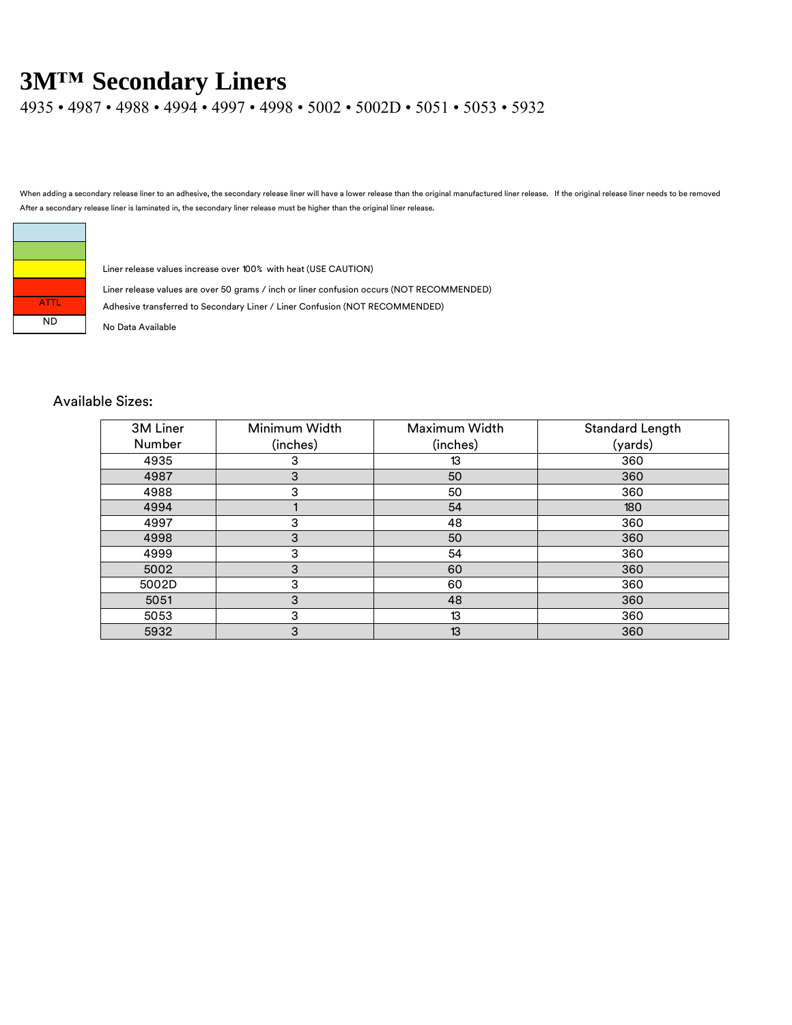4935 • 4987 • 4988 • 4994 • 4997 • 4998 • 5002 • 5002D • 5051 • 5053 • 5932

When adding a secondary release liner to an adhesive, the secondary release liner will have a lower release than the original manufactured liner release. If the original release liner needs to be removed After a secondary release liner is laminated in, the secondary liner release must be higher than the original liner release.



Liner release values increase over 100% with heat (USE CAUTION)

Liner release values are over 50 grams / inch or liner confusion occurs (NOT RECOMMENDED)

Adhesive transferred to Secondary Liner / Liner Confusion (NOT RECOMMENDED)

#### Available Sizes:

| 3M Liner | Minimum Width | Maximum Width | Standard Length |
|----------|---------------|---------------|-----------------|
| Number   | (inches)      | (inches)      | (yards)         |
| 4935     | 3             | 13            | 360             |
| 4987     | 3             | 50            | 360             |
| 4988     | 3             | 50            | 360             |
| 4994     |               | 54            | 180             |
| 4997     | 3             | 48            | 360             |
| 4998     | 3             | 50            | 360             |
| 4999     | 3             | 54            | 360             |
| 5002     | 3             | 60            | 360             |
| 5002D    | 3             | 60            | 360             |
| 5051     | 3             | 48            | 360             |
| 5053     | 3             | 13            | 360             |
| 5932     | 3             | 13            | 360             |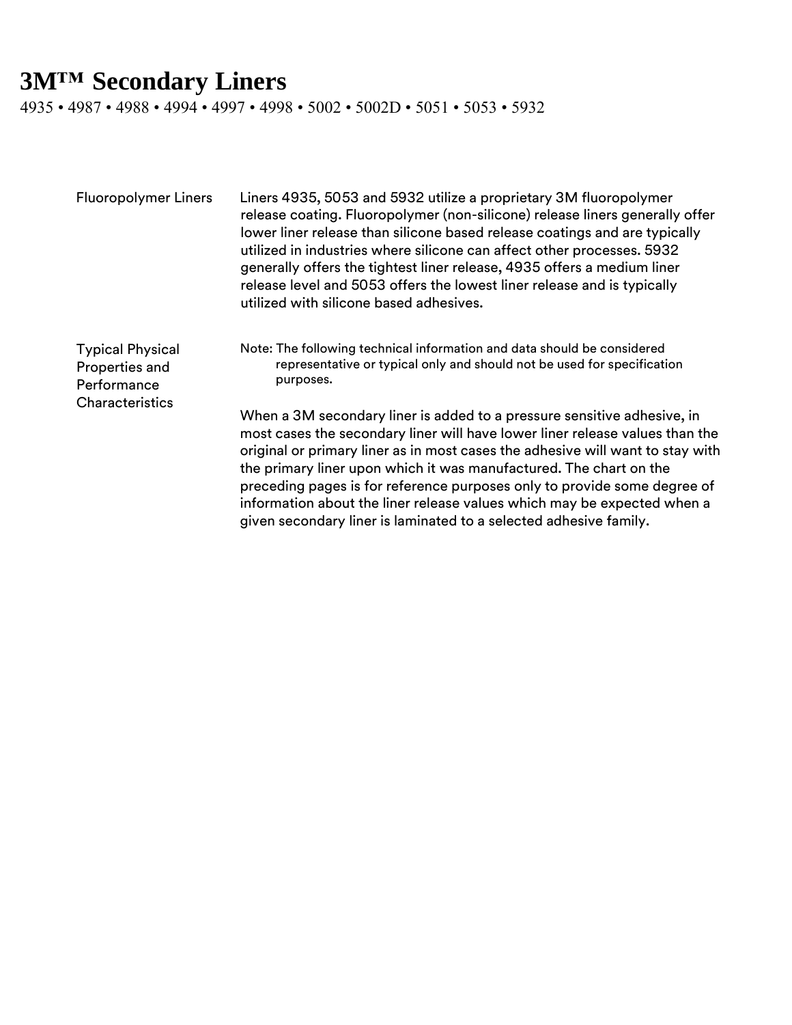4935 • 4987 • 4988 • 4994 • 4997 • 4998 • 5002 • 5002D • 5051 • 5053 • 5932

| <b>Fluoropolymer Liners</b>                                                        | Liners 4935, 5053 and 5932 utilize a proprietary 3M fluoropolymer<br>release coating. Fluoropolymer (non-silicone) release liners generally offer<br>lower liner release than silicone based release coatings and are typically<br>utilized in industries where silicone can affect other processes. 5932<br>generally offers the tightest liner release, 4935 offers a medium liner<br>release level and 5053 offers the lowest liner release and is typically<br>utilized with silicone based adhesives.                                  |
|------------------------------------------------------------------------------------|---------------------------------------------------------------------------------------------------------------------------------------------------------------------------------------------------------------------------------------------------------------------------------------------------------------------------------------------------------------------------------------------------------------------------------------------------------------------------------------------------------------------------------------------|
| <b>Typical Physical</b><br>Properties and<br>Performance<br><b>Characteristics</b> | Note: The following technical information and data should be considered<br>representative or typical only and should not be used for specification<br>purposes.                                                                                                                                                                                                                                                                                                                                                                             |
|                                                                                    | When a 3M secondary liner is added to a pressure sensitive adhesive, in<br>most cases the secondary liner will have lower liner release values than the<br>original or primary liner as in most cases the adhesive will want to stay with<br>the primary liner upon which it was manufactured. The chart on the<br>preceding pages is for reference purposes only to provide some degree of<br>information about the liner release values which may be expected when a<br>given secondary liner is laminated to a selected adhesive family. |